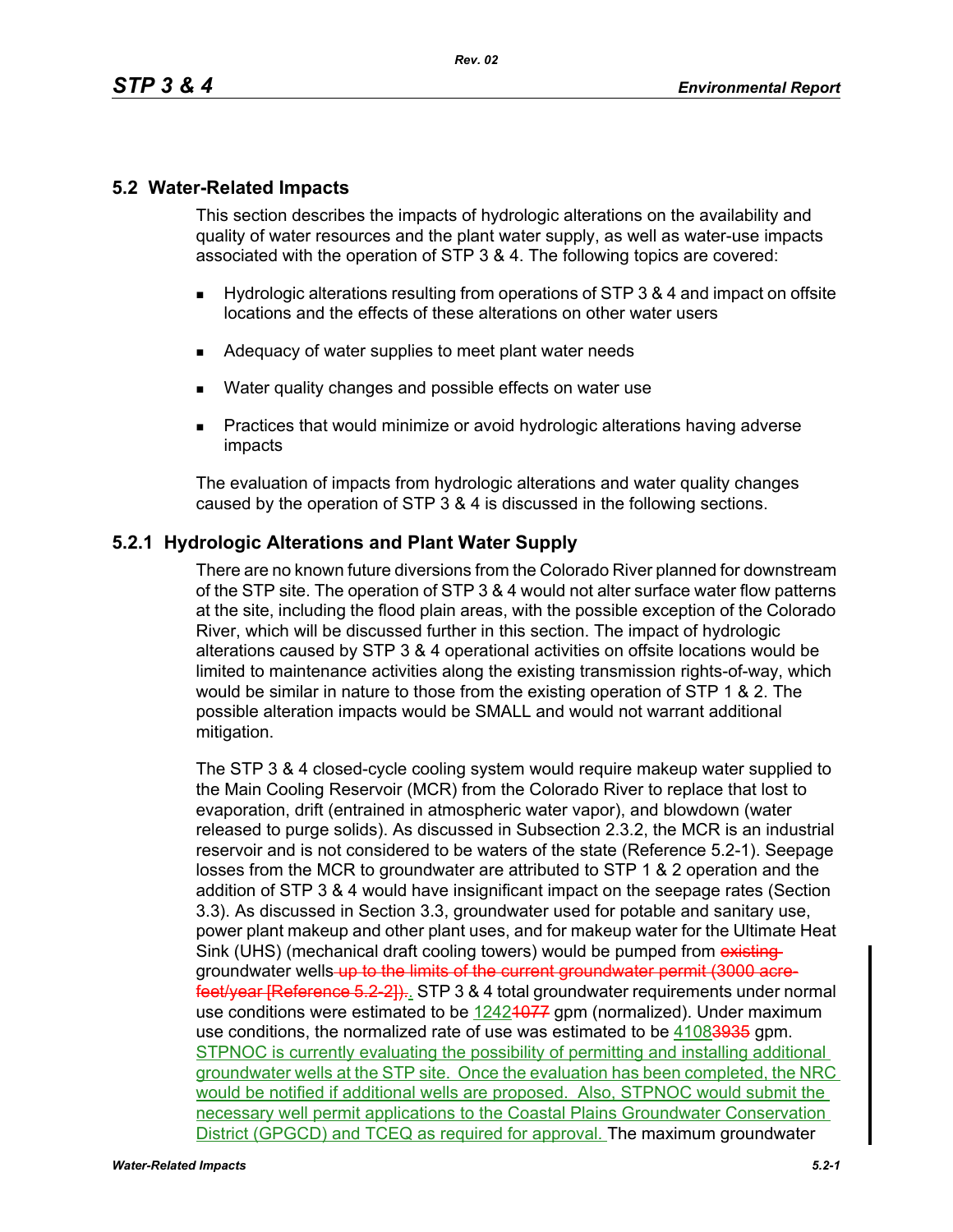# **5.2 Water-Related Impacts**

This section describes the impacts of hydrologic alterations on the availability and quality of water resources and the plant water supply, as well as water-use impacts associated with the operation of STP 3 & 4. The following topics are covered:

- Hydrologic alterations resulting from operations of STP 3 & 4 and impact on offsite locations and the effects of these alterations on other water users
- Adequacy of water supplies to meet plant water needs
- **Water quality changes and possible effects on water use**
- **Practices that would minimize or avoid hydrologic alterations having adverse** impacts

The evaluation of impacts from hydrologic alterations and water quality changes caused by the operation of STP 3 & 4 is discussed in the following sections.

## **5.2.1 Hydrologic Alterations and Plant Water Supply**

There are no known future diversions from the Colorado River planned for downstream of the STP site. The operation of STP 3 & 4 would not alter surface water flow patterns at the site, including the flood plain areas, with the possible exception of the Colorado River, which will be discussed further in this section. The impact of hydrologic alterations caused by STP 3 & 4 operational activities on offsite locations would be limited to maintenance activities along the existing transmission rights-of-way, which would be similar in nature to those from the existing operation of STP 1 & 2. The possible alteration impacts would be SMALL and would not warrant additional mitigation.

The STP 3 & 4 closed-cycle cooling system would require makeup water supplied to the Main Cooling Reservoir (MCR) from the Colorado River to replace that lost to evaporation, drift (entrained in atmospheric water vapor), and blowdown (water released to purge solids). As discussed in Subsection 2.3.2, the MCR is an industrial reservoir and is not considered to be waters of the state (Reference 5.2-1). Seepage losses from the MCR to groundwater are attributed to STP 1 & 2 operation and the addition of STP 3 & 4 would have insignificant impact on the seepage rates (Section 3.3). As discussed in Section 3.3, groundwater used for potable and sanitary use, power plant makeup and other plant uses, and for makeup water for the Ultimate Heat Sink (UHS) (mechanical draft cooling towers) would be pumped from existinggroundwater wells up to the limits of the current groundwater permit (3000 acrefeet/year [Reference 5.2-2]).. STP 3 & 4 total groundwater requirements under normal use conditions were estimated to be 12424077 gpm (normalized). Under maximum use conditions, the normalized rate of use was estimated to be 41083935 gpm. STPNOC is currently evaluating the possibility of permitting and installing additional groundwater wells at the STP site. Once the evaluation has been completed, the NRC would be notified if additional wells are proposed. Also, STPNOC would submit the necessary well permit applications to the Coastal Plains Groundwater Conservation District (GPGCD) and TCEQ as required for approval. The maximum groundwater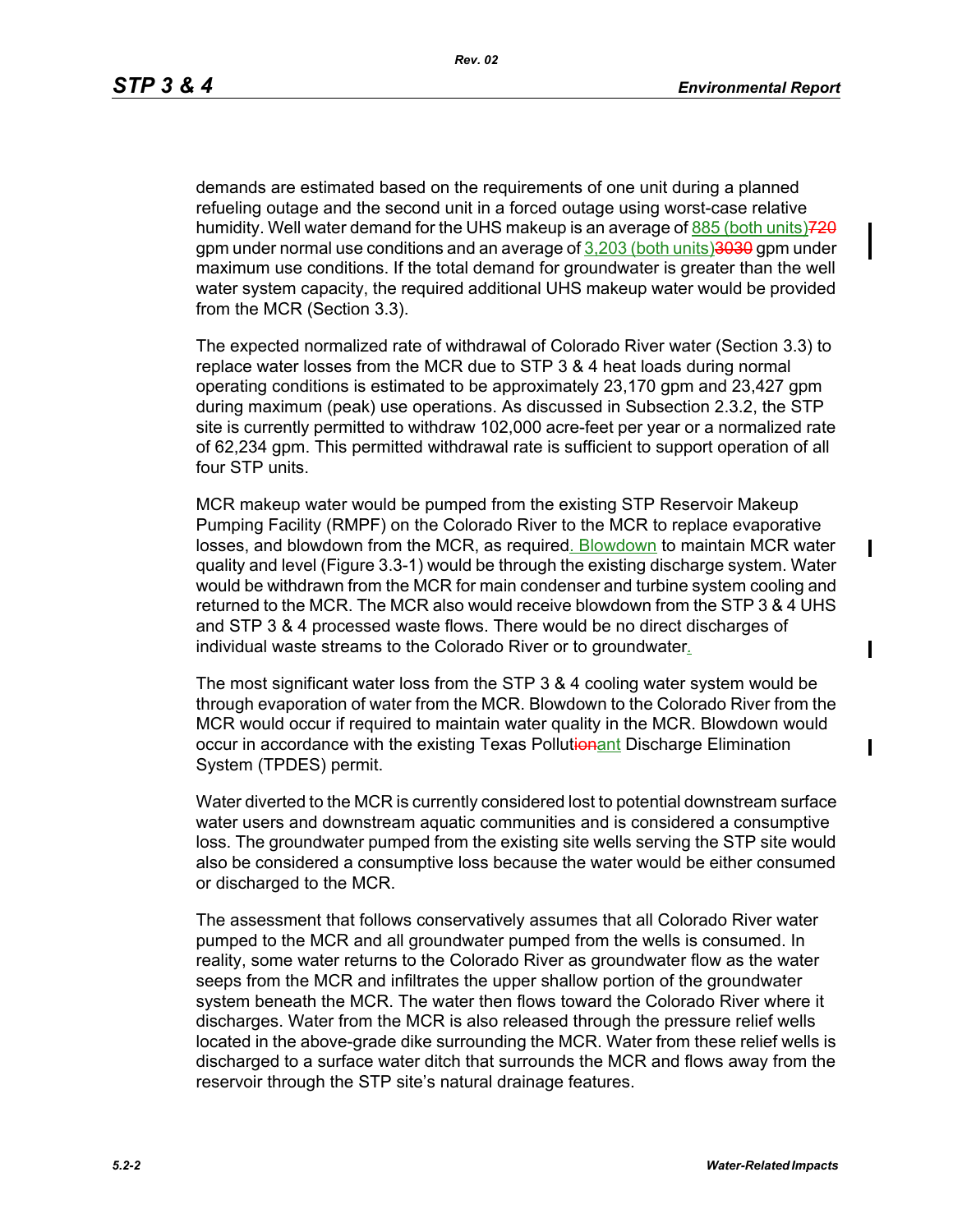П

 $\mathbf I$ 

I

demands are estimated based on the requirements of one unit during a planned refueling outage and the second unit in a forced outage using worst-case relative humidity. Well water demand for the UHS makeup is an average of  $885$  (both units) $720$ gpm under normal use conditions and an average of 3,203 (both units)3030 gpm under maximum use conditions. If the total demand for groundwater is greater than the well water system capacity, the required additional UHS makeup water would be provided from the MCR (Section 3.3).

The expected normalized rate of withdrawal of Colorado River water (Section 3.3) to replace water losses from the MCR due to STP 3 & 4 heat loads during normal operating conditions is estimated to be approximately 23,170 gpm and 23,427 gpm during maximum (peak) use operations. As discussed in Subsection 2.3.2, the STP site is currently permitted to withdraw 102,000 acre-feet per year or a normalized rate of 62,234 gpm. This permitted withdrawal rate is sufficient to support operation of all four STP units.

MCR makeup water would be pumped from the existing STP Reservoir Makeup Pumping Facility (RMPF) on the Colorado River to the MCR to replace evaporative losses, and blowdown from the MCR, as required. Blowdown to maintain MCR water quality and level (Figure 3.3-1) would be through the existing discharge system. Water would be withdrawn from the MCR for main condenser and turbine system cooling and returned to the MCR. The MCR also would receive blowdown from the STP 3 & 4 UHS and STP 3 & 4 processed waste flows. There would be no direct discharges of individual waste streams to the Colorado River or to groundwater*.*

The most significant water loss from the STP 3 & 4 cooling water system would be through evaporation of water from the MCR. Blowdown to the Colorado River from the MCR would occur if required to maintain water quality in the MCR. Blowdown would occur in accordance with the existing Texas Pollutionant Discharge Elimination System (TPDES) permit.

Water diverted to the MCR is currently considered lost to potential downstream surface water users and downstream aquatic communities and is considered a consumptive loss. The groundwater pumped from the existing site wells serving the STP site would also be considered a consumptive loss because the water would be either consumed or discharged to the MCR.

The assessment that follows conservatively assumes that all Colorado River water pumped to the MCR and all groundwater pumped from the wells is consumed. In reality, some water returns to the Colorado River as groundwater flow as the water seeps from the MCR and infiltrates the upper shallow portion of the groundwater system beneath the MCR. The water then flows toward the Colorado River where it discharges. Water from the MCR is also released through the pressure relief wells located in the above-grade dike surrounding the MCR. Water from these relief wells is discharged to a surface water ditch that surrounds the MCR and flows away from the reservoir through the STP site's natural drainage features.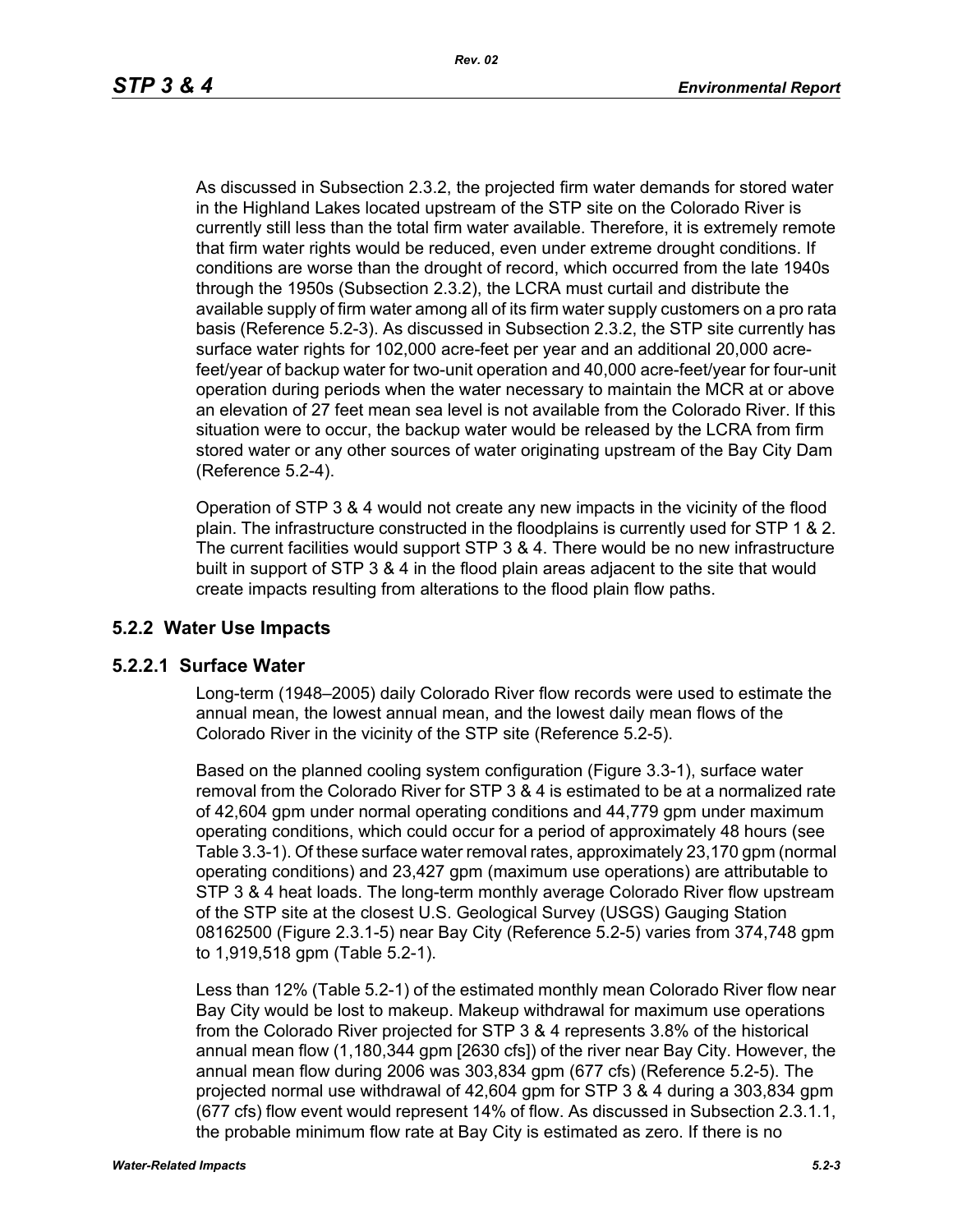As discussed in Subsection 2.3.2, the projected firm water demands for stored water in the Highland Lakes located upstream of the STP site on the Colorado River is currently still less than the total firm water available. Therefore, it is extremely remote that firm water rights would be reduced, even under extreme drought conditions. If conditions are worse than the drought of record, which occurred from the late 1940s through the 1950s (Subsection 2.3.2), the LCRA must curtail and distribute the available supply of firm water among all of its firm water supply customers on a pro rata basis (Reference 5.2-3). As discussed in Subsection 2.3.2, the STP site currently has surface water rights for 102,000 acre-feet per year and an additional 20,000 acrefeet/year of backup water for two-unit operation and 40,000 acre-feet/year for four-unit operation during periods when the water necessary to maintain the MCR at or above an elevation of 27 feet mean sea level is not available from the Colorado River. If this situation were to occur, the backup water would be released by the LCRA from firm stored water or any other sources of water originating upstream of the Bay City Dam (Reference 5.2-4).

Operation of STP 3 & 4 would not create any new impacts in the vicinity of the flood plain. The infrastructure constructed in the floodplains is currently used for STP 1 & 2. The current facilities would support STP 3 & 4. There would be no new infrastructure built in support of STP 3 & 4 in the flood plain areas adjacent to the site that would create impacts resulting from alterations to the flood plain flow paths.

# **5.2.2 Water Use Impacts**

# **5.2.2.1 Surface Water**

Long-term (1948–2005) daily Colorado River flow records were used to estimate the annual mean, the lowest annual mean, and the lowest daily mean flows of the Colorado River in the vicinity of the STP site (Reference 5.2-5).

Based on the planned cooling system configuration (Figure 3.3-1), surface water removal from the Colorado River for STP 3 & 4 is estimated to be at a normalized rate of 42,604 gpm under normal operating conditions and 44,779 gpm under maximum operating conditions, which could occur for a period of approximately 48 hours (see Table 3.3-1). Of these surface water removal rates, approximately 23,170 gpm (normal operating conditions) and 23,427 gpm (maximum use operations) are attributable to STP 3 & 4 heat loads. The long-term monthly average Colorado River flow upstream of the STP site at the closest U.S. Geological Survey (USGS) Gauging Station 08162500 (Figure 2.3.1-5) near Bay City (Reference 5.2-5) varies from 374,748 gpm to 1,919,518 gpm (Table 5.2-1).

Less than 12% (Table 5.2-1) of the estimated monthly mean Colorado River flow near Bay City would be lost to makeup. Makeup withdrawal for maximum use operations from the Colorado River projected for STP 3 & 4 represents 3.8% of the historical annual mean flow (1,180,344 gpm [2630 cfs]) of the river near Bay City. However, the annual mean flow during 2006 was 303,834 gpm (677 cfs) (Reference 5.2-5). The projected normal use withdrawal of 42,604 gpm for STP 3 & 4 during a 303,834 gpm (677 cfs) flow event would represent 14% of flow. As discussed in Subsection 2.3.1.1, the probable minimum flow rate at Bay City is estimated as zero. If there is no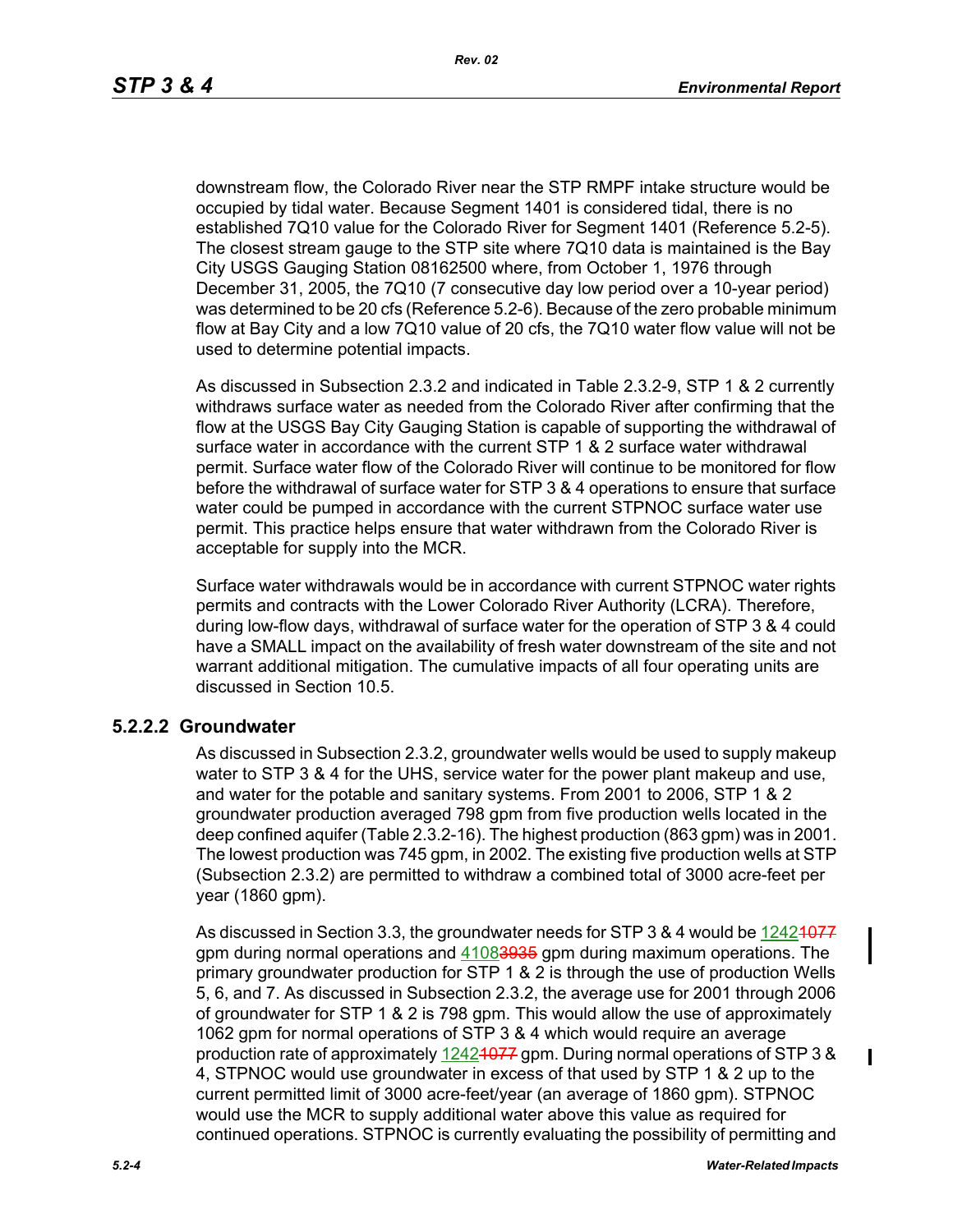downstream flow, the Colorado River near the STP RMPF intake structure would be occupied by tidal water. Because Segment 1401 is considered tidal, there is no established 7Q10 value for the Colorado River for Segment 1401 (Reference 5.2-5). The closest stream gauge to the STP site where 7Q10 data is maintained is the Bay City USGS Gauging Station 08162500 where, from October 1, 1976 through December 31, 2005, the 7Q10 (7 consecutive day low period over a 10-year period) was determined to be 20 cfs (Reference 5.2-6). Because of the zero probable minimum flow at Bay City and a low 7Q10 value of 20 cfs, the 7Q10 water flow value will not be used to determine potential impacts.

As discussed in Subsection 2.3.2 and indicated in Table 2.3.2-9, STP 1 & 2 currently withdraws surface water as needed from the Colorado River after confirming that the flow at the USGS Bay City Gauging Station is capable of supporting the withdrawal of surface water in accordance with the current STP 1 & 2 surface water withdrawal permit. Surface water flow of the Colorado River will continue to be monitored for flow before the withdrawal of surface water for STP 3 & 4 operations to ensure that surface water could be pumped in accordance with the current STPNOC surface water use permit. This practice helps ensure that water withdrawn from the Colorado River is acceptable for supply into the MCR.

Surface water withdrawals would be in accordance with current STPNOC water rights permits and contracts with the Lower Colorado River Authority (LCRA). Therefore, during low-flow days, withdrawal of surface water for the operation of STP 3 & 4 could have a SMALL impact on the availability of fresh water downstream of the site and not warrant additional mitigation. The cumulative impacts of all four operating units are discussed in Section 10.5.

### **5.2.2.2 Groundwater**

As discussed in Subsection 2.3.2, groundwater wells would be used to supply makeup water to STP 3 & 4 for the UHS, service water for the power plant makeup and use, and water for the potable and sanitary systems. From 2001 to 2006, STP 1 & 2 groundwater production averaged 798 gpm from five production wells located in the deep confined aquifer (Table 2.3.2-16). The highest production (863 gpm) was in 2001. The lowest production was 745 gpm, in 2002. The existing five production wells at STP (Subsection 2.3.2) are permitted to withdraw a combined total of 3000 acre-feet per year (1860 gpm).

As discussed in Section 3.3, the groundwater needs for STP 3 & 4 would be 12424077 gpm during normal operations and 41083935 gpm during maximum operations. The primary groundwater production for STP 1 & 2 is through the use of production Wells 5, 6, and 7. As discussed in Subsection 2.3.2, the average use for 2001 through 2006 of groundwater for STP 1 & 2 is 798 gpm. This would allow the use of approximately 1062 gpm for normal operations of STP 3 & 4 which would require an average production rate of approximately 12421077 gpm. During normal operations of STP 3 & 4, STPNOC would use groundwater in excess of that used by STP 1 & 2 up to the current permitted limit of 3000 acre-feet/year (an average of 1860 gpm). STPNOC would use the MCR to supply additional water above this value as required for continued operations. STPNOC is currently evaluating the possibility of permitting and

 $\mathbf I$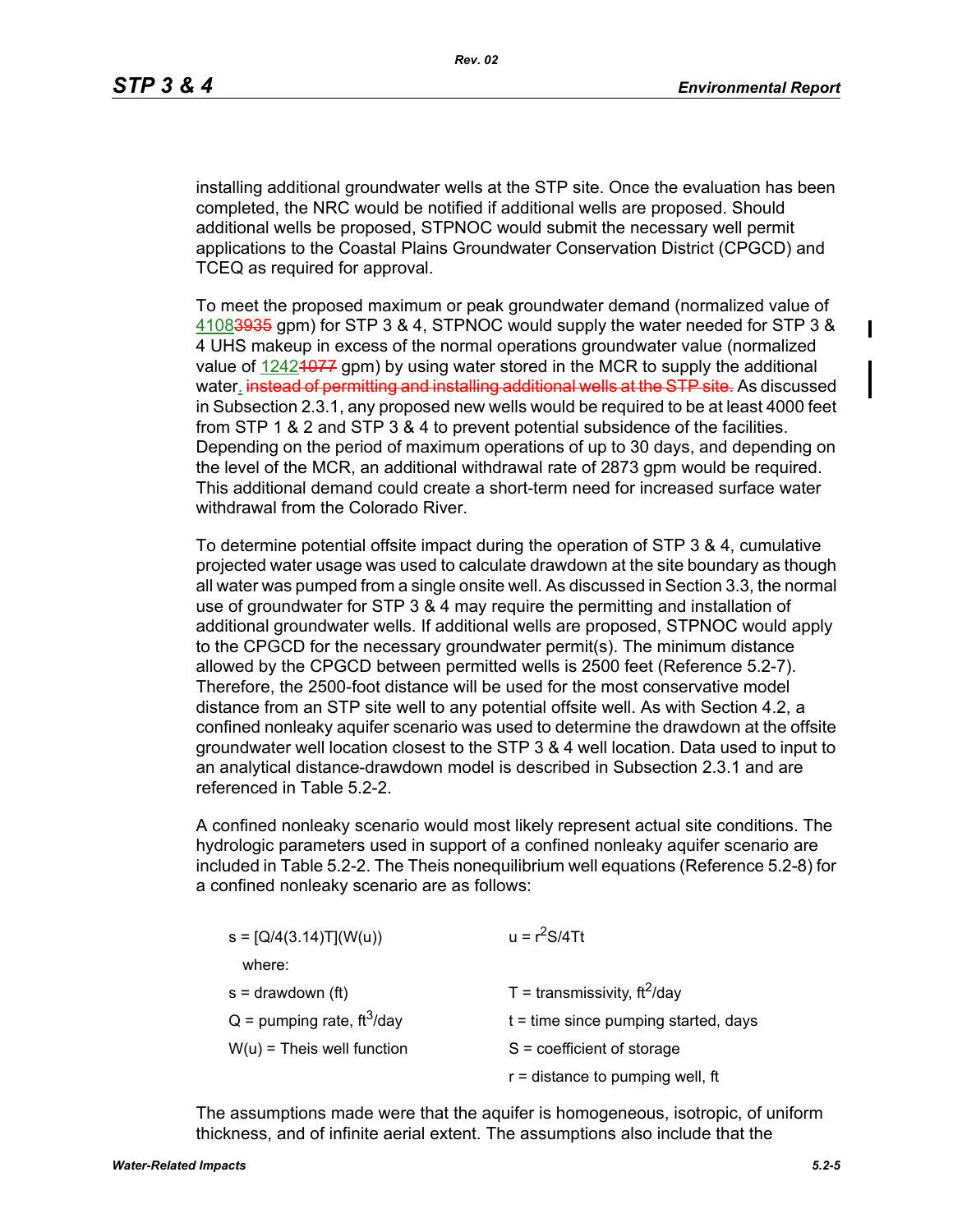$\blacksquare$ 

installing additional groundwater wells at the STP site. Once the evaluation has been completed, the NRC would be notified if additional wells are proposed. Should additional wells be proposed, STPNOC would submit the necessary well permit applications to the Coastal Plains Groundwater Conservation District (CPGCD) and TCEQ as required for approval.

To meet the proposed maximum or peak groundwater demand (normalized value of 41083935 gpm) for STP 3 & 4, STPNOC would supply the water needed for STP 3 & 4 UHS makeup in excess of the normal operations groundwater value (normalized value of  $12424077$  gpm) by using water stored in the MCR to supply the additional water. instead of permitting and installing additional wells at the STP site. As discussed in Subsection 2.3.1, any proposed new wells would be required to be at least 4000 feet from STP 1 & 2 and STP 3 & 4 to prevent potential subsidence of the facilities. Depending on the period of maximum operations of up to 30 days, and depending on the level of the MCR, an additional withdrawal rate of 2873 gpm would be required. This additional demand could create a short-term need for increased surface water withdrawal from the Colorado River.

To determine potential offsite impact during the operation of STP 3 & 4, cumulative projected water usage was used to calculate drawdown at the site boundary as though all water was pumped from a single onsite well. As discussed in Section 3.3, the normal use of groundwater for STP 3 & 4 may require the permitting and installation of additional groundwater wells. If additional wells are proposed, STPNOC would apply to the CPGCD for the necessary groundwater permit(s). The minimum distance allowed by the CPGCD between permitted wells is 2500 feet (Reference 5.2-7). Therefore, the 2500-foot distance will be used for the most conservative model distance from an STP site well to any potential offsite well. As with Section 4.2, a confined nonleaky aquifer scenario was used to determine the drawdown at the offsite groundwater well location closest to the STP 3 & 4 well location. Data used to input to an analytical distance-drawdown model is described in Subsection 2.3.1 and are referenced in Table 5.2-2.

A confined nonleaky scenario would most likely represent actual site conditions. The hydrologic parameters used in support of a confined nonleaky aquifer scenario are included in Table 5.2-2. The Theis nonequilibrium well equations (Reference 5.2-8) for a confined nonleaky scenario are as follows:

| $s = [Q/4(3.14)T](W(u))$                 | $u = r^2S/4Tt$                               |  |  |
|------------------------------------------|----------------------------------------------|--|--|
| where:                                   |                                              |  |  |
| $s =$ drawdown (ft)                      | T = transmissivity, $\text{ft}^2/\text{day}$ |  |  |
| $Q =$ pumping rate, ft <sup>3</sup> /day | $t =$ time since pumping started, days       |  |  |
| $W(u)$ = Theis well function             | $S = coefficient of storage$                 |  |  |
|                                          | $r =$ distance to pumping well, ft           |  |  |

The assumptions made were that the aquifer is homogeneous, isotropic, of uniform thickness, and of infinite aerial extent. The assumptions also include that the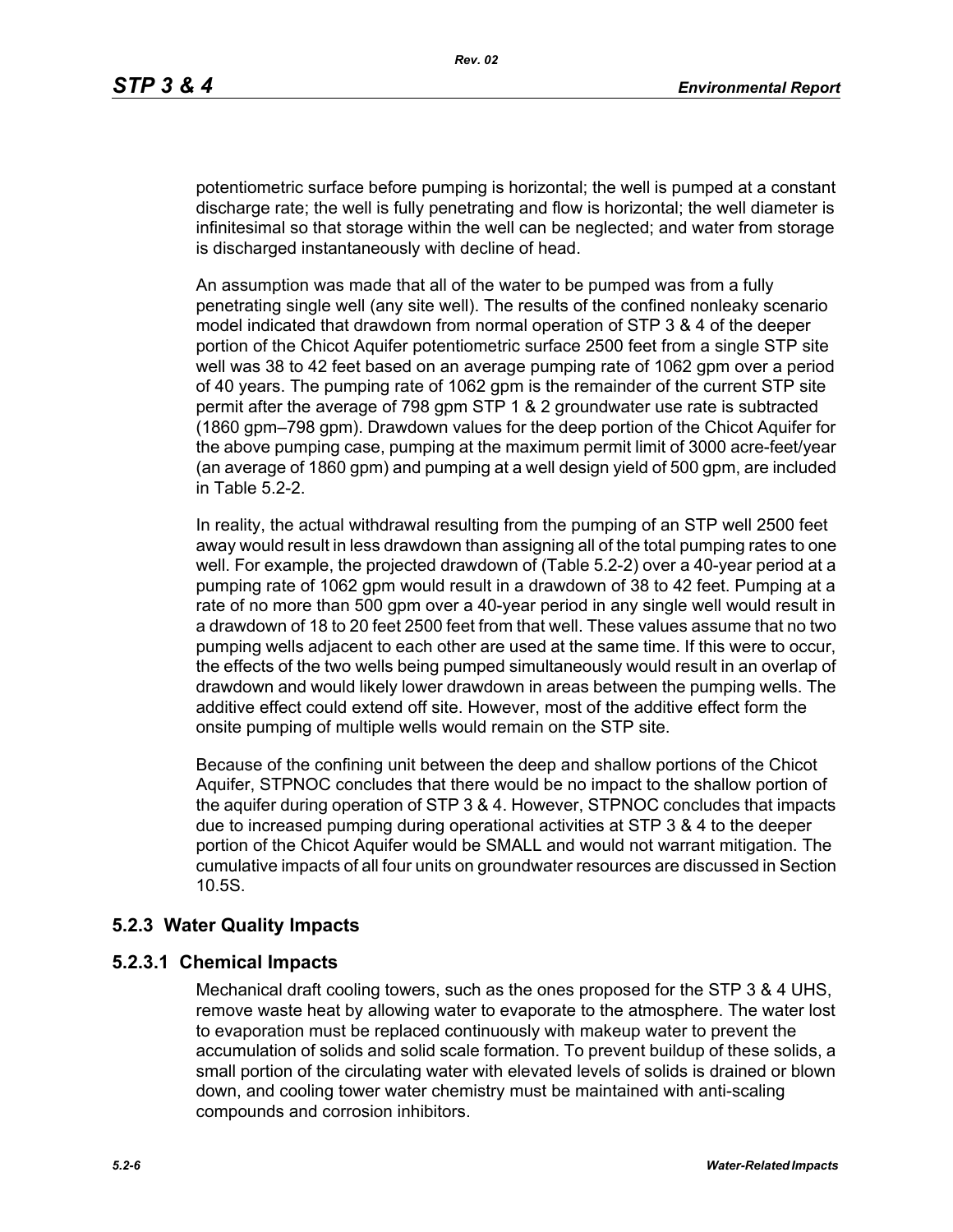potentiometric surface before pumping is horizontal; the well is pumped at a constant discharge rate; the well is fully penetrating and flow is horizontal; the well diameter is infinitesimal so that storage within the well can be neglected; and water from storage is discharged instantaneously with decline of head.

An assumption was made that all of the water to be pumped was from a fully penetrating single well (any site well). The results of the confined nonleaky scenario model indicated that drawdown from normal operation of STP 3 & 4 of the deeper portion of the Chicot Aquifer potentiometric surface 2500 feet from a single STP site well was 38 to 42 feet based on an average pumping rate of 1062 gpm over a period of 40 years. The pumping rate of 1062 gpm is the remainder of the current STP site permit after the average of 798 gpm STP 1 & 2 groundwater use rate is subtracted (1860 gpm–798 gpm). Drawdown values for the deep portion of the Chicot Aquifer for the above pumping case, pumping at the maximum permit limit of 3000 acre-feet/year (an average of 1860 gpm) and pumping at a well design yield of 500 gpm, are included in Table 5.2-2.

In reality, the actual withdrawal resulting from the pumping of an STP well 2500 feet away would result in less drawdown than assigning all of the total pumping rates to one well. For example, the projected drawdown of (Table 5.2-2) over a 40-year period at a pumping rate of 1062 gpm would result in a drawdown of 38 to 42 feet. Pumping at a rate of no more than 500 gpm over a 40-year period in any single well would result in a drawdown of 18 to 20 feet 2500 feet from that well. These values assume that no two pumping wells adjacent to each other are used at the same time. If this were to occur, the effects of the two wells being pumped simultaneously would result in an overlap of drawdown and would likely lower drawdown in areas between the pumping wells. The additive effect could extend off site. However, most of the additive effect form the onsite pumping of multiple wells would remain on the STP site.

Because of the confining unit between the deep and shallow portions of the Chicot Aquifer, STPNOC concludes that there would be no impact to the shallow portion of the aquifer during operation of STP 3 & 4. However, STPNOC concludes that impacts due to increased pumping during operational activities at STP 3 & 4 to the deeper portion of the Chicot Aquifer would be SMALL and would not warrant mitigation. The cumulative impacts of all four units on groundwater resources are discussed in Section 10.5S.

### **5.2.3 Water Quality Impacts**

### **5.2.3.1 Chemical Impacts**

Mechanical draft cooling towers, such as the ones proposed for the STP 3 & 4 UHS, remove waste heat by allowing water to evaporate to the atmosphere. The water lost to evaporation must be replaced continuously with makeup water to prevent the accumulation of solids and solid scale formation. To prevent buildup of these solids, a small portion of the circulating water with elevated levels of solids is drained or blown down, and cooling tower water chemistry must be maintained with anti-scaling compounds and corrosion inhibitors.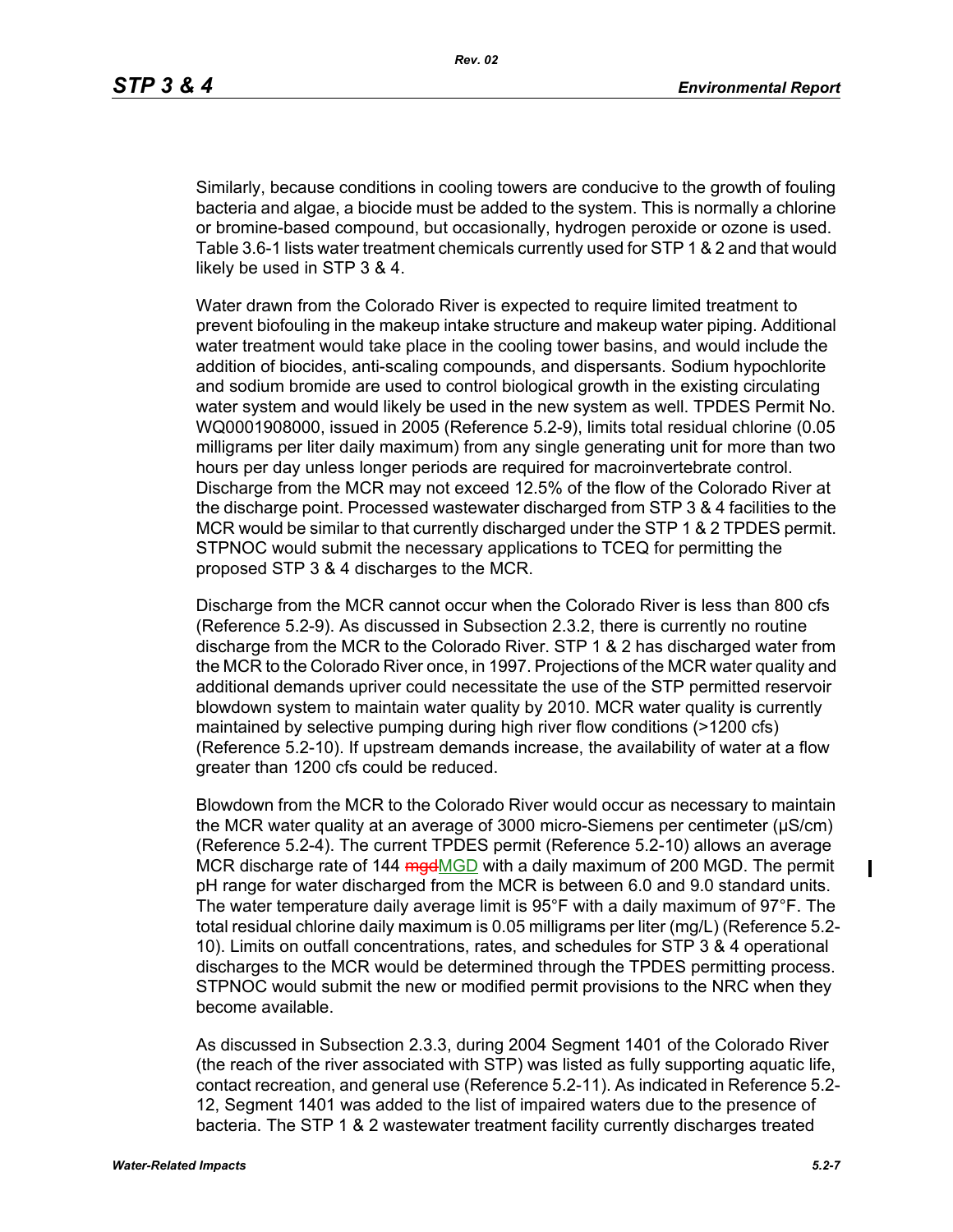Similarly, because conditions in cooling towers are conducive to the growth of fouling bacteria and algae, a biocide must be added to the system. This is normally a chlorine or bromine-based compound, but occasionally, hydrogen peroxide or ozone is used. Table 3.6-1 lists water treatment chemicals currently used for STP 1 & 2 and that would likely be used in STP 3 & 4.

Water drawn from the Colorado River is expected to require limited treatment to prevent biofouling in the makeup intake structure and makeup water piping. Additional water treatment would take place in the cooling tower basins, and would include the addition of biocides, anti-scaling compounds, and dispersants. Sodium hypochlorite and sodium bromide are used to control biological growth in the existing circulating water system and would likely be used in the new system as well. TPDES Permit No. WQ0001908000, issued in 2005 (Reference 5.2-9), limits total residual chlorine (0.05 milligrams per liter daily maximum) from any single generating unit for more than two hours per day unless longer periods are required for macroinvertebrate control. Discharge from the MCR may not exceed 12.5% of the flow of the Colorado River at the discharge point. Processed wastewater discharged from STP 3 & 4 facilities to the MCR would be similar to that currently discharged under the STP 1 & 2 TPDES permit. STPNOC would submit the necessary applications to TCEQ for permitting the proposed STP 3 & 4 discharges to the MCR.

Discharge from the MCR cannot occur when the Colorado River is less than 800 cfs (Reference 5.2-9). As discussed in Subsection 2.3.2, there is currently no routine discharge from the MCR to the Colorado River. STP 1 & 2 has discharged water from the MCR to the Colorado River once, in 1997. Projections of the MCR water quality and additional demands upriver could necessitate the use of the STP permitted reservoir blowdown system to maintain water quality by 2010. MCR water quality is currently maintained by selective pumping during high river flow conditions (>1200 cfs) (Reference 5.2-10). If upstream demands increase, the availability of water at a flow greater than 1200 cfs could be reduced.

Blowdown from the MCR to the Colorado River would occur as necessary to maintain the MCR water quality at an average of 3000 micro-Siemens per centimeter (µS/cm) (Reference 5.2-4). The current TPDES permit (Reference 5.2-10) allows an average MCR discharge rate of 144 mgdMGD with a daily maximum of 200 MGD. The permit pH range for water discharged from the MCR is between 6.0 and 9.0 standard units. The water temperature daily average limit is 95°F with a daily maximum of 97°F. The total residual chlorine daily maximum is 0.05 milligrams per liter (mg/L) (Reference 5.2- 10). Limits on outfall concentrations, rates, and schedules for STP 3 & 4 operational discharges to the MCR would be determined through the TPDES permitting process. STPNOC would submit the new or modified permit provisions to the NRC when they become available.

As discussed in Subsection 2.3.3, during 2004 Segment 1401 of the Colorado River (the reach of the river associated with STP) was listed as fully supporting aquatic life, contact recreation, and general use (Reference 5.2-11). As indicated in Reference 5.2- 12, Segment 1401 was added to the list of impaired waters due to the presence of bacteria. The STP 1 & 2 wastewater treatment facility currently discharges treated

П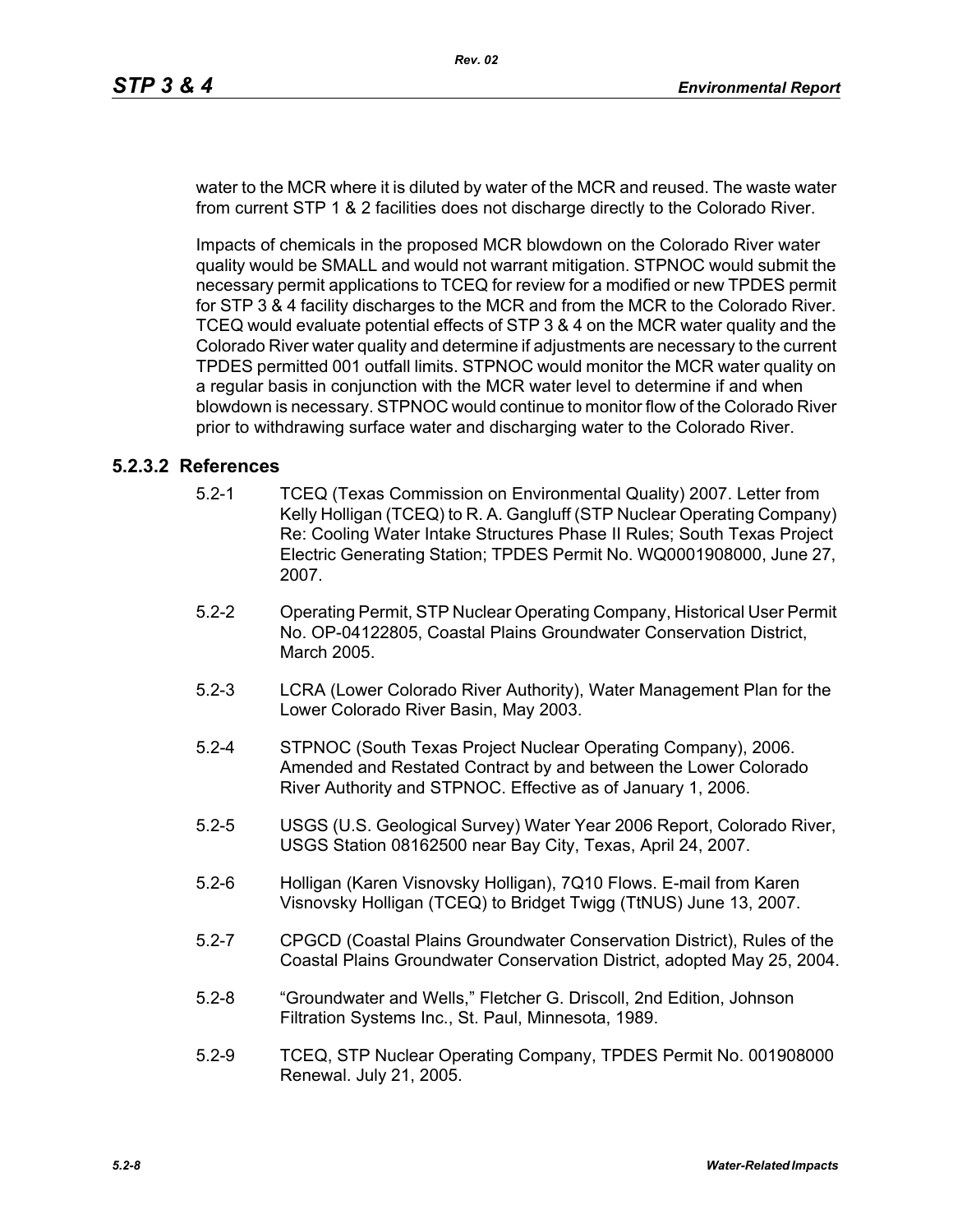water to the MCR where it is diluted by water of the MCR and reused. The waste water from current STP 1 & 2 facilities does not discharge directly to the Colorado River.

Impacts of chemicals in the proposed MCR blowdown on the Colorado River water quality would be SMALL and would not warrant mitigation. STPNOC would submit the necessary permit applications to TCEQ for review for a modified or new TPDES permit for STP 3 & 4 facility discharges to the MCR and from the MCR to the Colorado River. TCEQ would evaluate potential effects of STP 3 & 4 on the MCR water quality and the Colorado River water quality and determine if adjustments are necessary to the current TPDES permitted 001 outfall limits. STPNOC would monitor the MCR water quality on a regular basis in conjunction with the MCR water level to determine if and when blowdown is necessary. STPNOC would continue to monitor flow of the Colorado River prior to withdrawing surface water and discharging water to the Colorado River.

### **5.2.3.2 References**

- 5.2-1 TCEQ (Texas Commission on Environmental Quality) 2007. Letter from Kelly Holligan (TCEQ) to R. A. Gangluff (STP Nuclear Operating Company) Re: Cooling Water Intake Structures Phase II Rules; South Texas Project Electric Generating Station; TPDES Permit No. WQ0001908000, June 27, 2007.
- 5.2-2 Operating Permit, STP Nuclear Operating Company, Historical User Permit No. OP-04122805, Coastal Plains Groundwater Conservation District, March 2005.
- 5.2-3 LCRA (Lower Colorado River Authority), Water Management Plan for the Lower Colorado River Basin, May 2003.
- 5.2-4 STPNOC (South Texas Project Nuclear Operating Company), 2006. Amended and Restated Contract by and between the Lower Colorado River Authority and STPNOC. Effective as of January 1, 2006.
- 5.2-5 USGS (U.S. Geological Survey) Water Year 2006 Report, Colorado River, USGS Station 08162500 near Bay City, Texas, April 24, 2007.
- 5.2-6 Holligan (Karen Visnovsky Holligan), 7Q10 Flows. E-mail from Karen Visnovsky Holligan (TCEQ) to Bridget Twigg (TtNUS) June 13, 2007.
- 5.2-7 CPGCD (Coastal Plains Groundwater Conservation District), Rules of the Coastal Plains Groundwater Conservation District, adopted May 25, 2004.
- 5.2-8 "Groundwater and Wells," Fletcher G. Driscoll, 2nd Edition, Johnson Filtration Systems Inc., St. Paul, Minnesota, 1989.
- 5.2-9 TCEQ, STP Nuclear Operating Company, TPDES Permit No. 001908000 Renewal. July 21, 2005.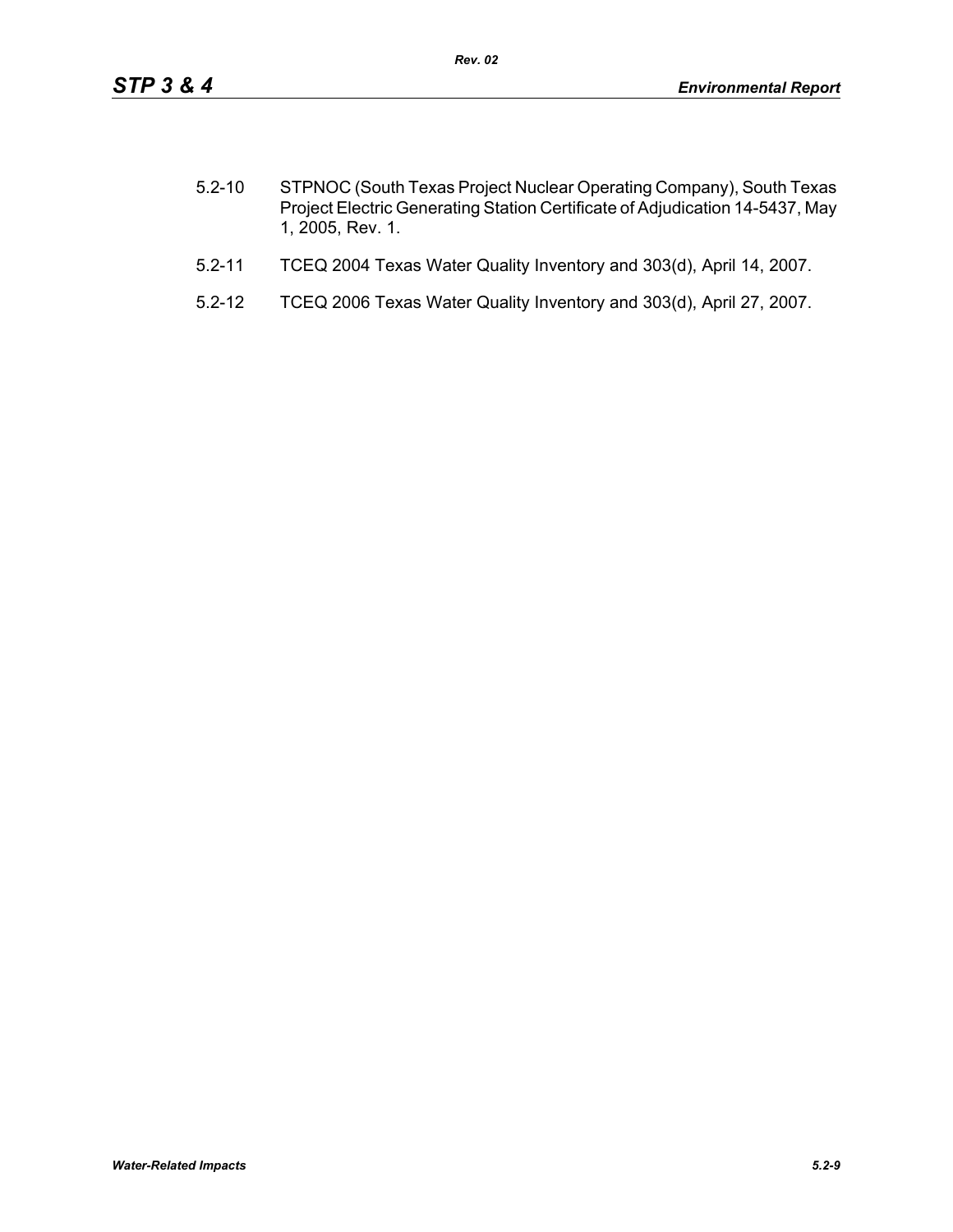| $5.2 - 10$ | STPNOC (South Texas Project Nuclear Operating Company), South Texas          |
|------------|------------------------------------------------------------------------------|
|            | Project Electric Generating Station Certificate of Adjudication 14-5437, May |
|            | 1, 2005, Rev. 1.                                                             |

- 5.2-11 TCEQ 2004 Texas Water Quality Inventory and 303(d), April 14, 2007.
- 5.2-12 TCEQ 2006 Texas Water Quality Inventory and 303(d), April 27, 2007.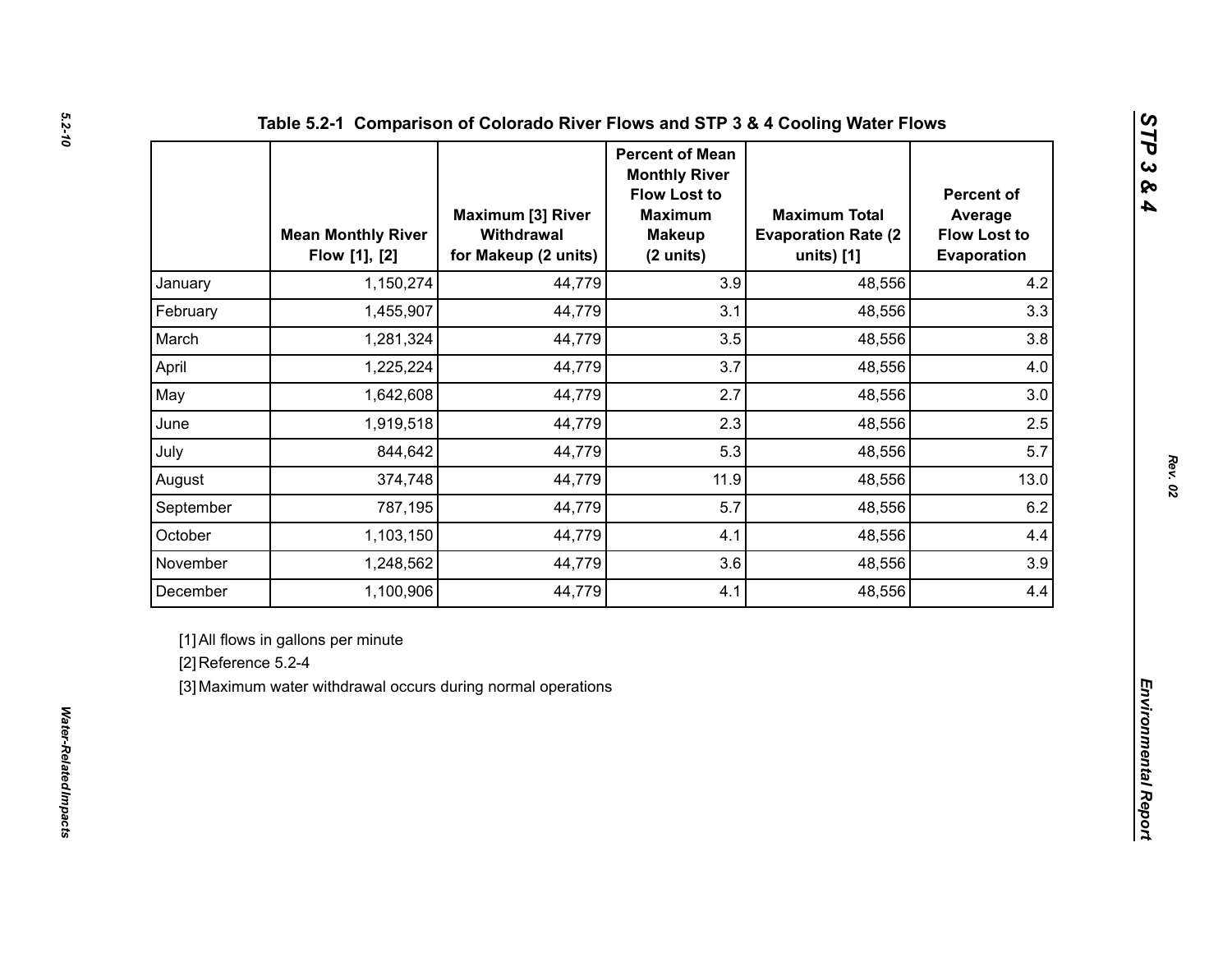|                     | <b>Mean Monthly River</b><br>Flow [1], [2]                                                          | <b>Maximum [3] River</b><br>Withdrawal<br>for Makeup (2 units) | <b>Percent of Mean</b><br><b>Monthly River</b><br><b>Flow Lost to</b><br><b>Maximum</b><br><b>Makeup</b><br>(2 units) | <b>Maximum Total</b><br><b>Evaporation Rate (2)</b><br>units) [1] | <b>Percent of</b><br>Average<br><b>Flow Lost to</b><br>Evaporation |  |
|---------------------|-----------------------------------------------------------------------------------------------------|----------------------------------------------------------------|-----------------------------------------------------------------------------------------------------------------------|-------------------------------------------------------------------|--------------------------------------------------------------------|--|
| January             | 1,150,274                                                                                           | 44,779                                                         | 3.9                                                                                                                   | 48,556                                                            | 4.2                                                                |  |
| February            | 1,455,907                                                                                           | 44,779                                                         | 3.1                                                                                                                   | 48,556                                                            | 3.3                                                                |  |
| March               | 1,281,324                                                                                           | 44,779                                                         | 3.5                                                                                                                   | 48,556                                                            | 3.8                                                                |  |
| April               | 1,225,224                                                                                           | 44,779                                                         | 3.7                                                                                                                   | 48,556                                                            | 4.0                                                                |  |
| May                 | 1,642,608                                                                                           | 44,779                                                         | 2.7                                                                                                                   | 48,556                                                            | 3.0                                                                |  |
| June                | 1,919,518                                                                                           | 44,779                                                         | 2.3                                                                                                                   | 48,556                                                            | 2.5                                                                |  |
| July                | 844,642                                                                                             | 44,779                                                         | 5.3                                                                                                                   | 48,556                                                            | 5.7                                                                |  |
| August              | 374,748                                                                                             | 44,779                                                         | 11.9                                                                                                                  | 48,556                                                            | 13.0                                                               |  |
| September           | 787,195                                                                                             | 44,779                                                         | 5.7                                                                                                                   | 48,556                                                            | 6.2                                                                |  |
| October             | 1,103,150                                                                                           | 44,779                                                         | 4.1                                                                                                                   | 48,556                                                            | 4.4                                                                |  |
| November            | 1,248,562                                                                                           | 44,779                                                         | 3.6                                                                                                                   | 48,556                                                            | 3.9                                                                |  |
| December            | 1,100,906                                                                                           | 44,779                                                         | 4.1                                                                                                                   | 48,556                                                            | 4.4                                                                |  |
| [2] Reference 5.2-4 | [1] All flows in gallons per minute<br>[3] Maximum water withdrawal occurs during normal operations |                                                                |                                                                                                                       |                                                                   |                                                                    |  |

*Rev. 02*

*STP 3 & 4*